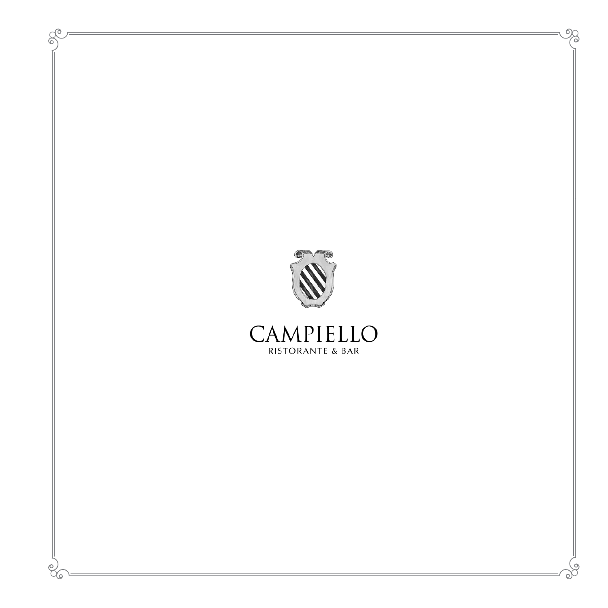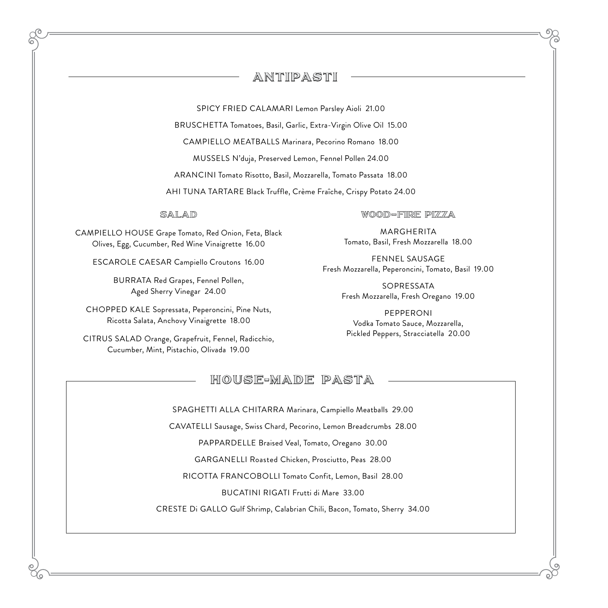## ANTIPASTI

SPICY FRIED CALAMARI Lemon Parsley Aioli 21.00

BRUSCHETTA Tomatoes, Basil, Garlic, Extra-Virgin Olive Oil 15.00

CAMPIELLO MEATBALLS Marinara, Pecorino Romano 18.00

MUSSELS N'duja, Preserved Lemon, Fennel Pollen 24.00

ARANCINI Tomato Risotto, Basil, Mozzarella, Tomato Passata 18.00

AHI TUNA TARTARE Black Truffle, Crème Fraîche, Crispy Potato 24.00

#### salad

CAMPIELLO HOUSE Grape Tomato, Red Onion, Feta, Black Olives, Egg, Cucumber, Red Wine Vinaigrette 16.00

ESCAROLE CAESAR Campiello Croutons 16.00

BURRATA Red Grapes, Fennel Pollen, Aged Sherry Vinegar 24.00

CHOPPED KALE Sopressata, Peperoncini, Pine Nuts, Ricotta Salata, Anchovy Vinaigrette 18.00

CITRUS SALAD Orange, Grapefruit, Fennel, Radicchio, Cucumber, Mint, Pistachio, Olivada 19.00

#### wood–fire pizza

MARGHERITA Tomato, Basil, Fresh Mozzarella 18.00

FENNEL SAUSAGE Fresh Mozzarella, Peperoncini, Tomato, Basil 19.00

> SOPRESSATA Fresh Mozzarella, Fresh Oregano 19.00

PEPPERONI Vodka Tomato Sauce, Mozzarella, Pickled Peppers, Stracciatella 20.00

### HOUSE-MADE PASTA

SPAGHETTI ALLA CHITARRA Marinara, Campiello Meatballs 29.00

CAVATELLI Sausage, Swiss Chard, Pecorino, Lemon Breadcrumbs 28.00

PAPPARDELLE Braised Veal, Tomato, Oregano 30.00

GARGANELLI Roasted Chicken, Prosciutto, Peas 28.00

RICOTTA FRANCOBOLLI Tomato Confit, Lemon, Basil 28.00

BUCATINI RIGATI Frutti di Mare 33.00

CRESTE Di GALLO Gulf Shrimp, Calabrian Chili, Bacon, Tomato, Sherry 34.00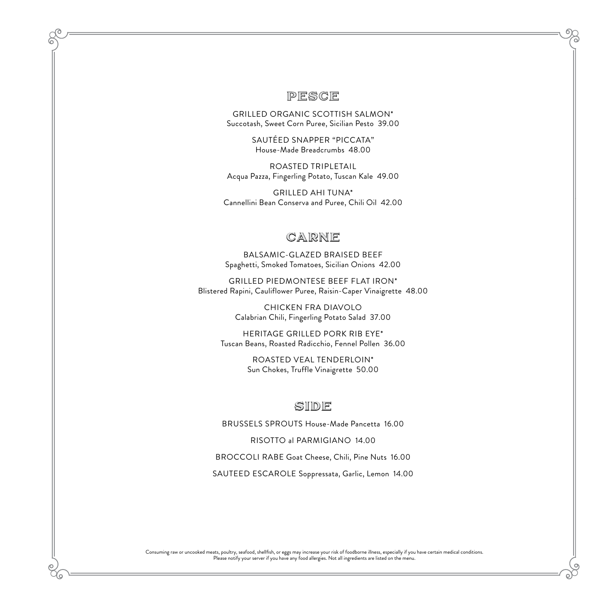#### PESCE

GRILLED ORGANIC SCOTTISH SALMON\* Succotash, Sweet Corn Puree, Sicilian Pesto 39.00

> SAUTÉED SNAPPER "PICCATA" House-Made Breadcrumbs 48.00

ROASTED TRIPLETAIL Acqua Pazza, Fingerling Potato, Tuscan Kale 49.00

GRILLED AHI TUNA\* Cannellini Bean Conserva and Puree, Chili Oil 42.00

# CARNE

BALSAMIC-GLAZED BRAISED BEEF Spaghetti, Smoked Tomatoes, Sicilian Onions 42.00

GRILLED PIEDMONTESE BEEF FLAT IRON\* Blistered Rapini, Cauliflower Puree, Raisin-Caper Vinaigrette 48.00

> CHICKEN FRA DIAVOLO Calabrian Chili, Fingerling Potato Salad 37.00

HERITAGE GRILLED PORK RIB EYE\* Tuscan Beans, Roasted Radicchio, Fennel Pollen 36.00

> ROASTED VEAL TENDERLOIN\* Sun Chokes, Truffle Vinaigrette 50.00

### SIDE

BRUSSELS SPROUTS House-Made Pancetta 16.00

RISOTTO al PARMIGIANO 14.00

BROCCOLI RABE Goat Cheese, Chili, Pine Nuts 16.00

SAUTEED ESCAROLE Soppressata, Garlic, Lemon 14.00

Consuming raw or uncooked meats, poultry, seafood, shellfish, or eggs may increase your risk of foodborne illness, especially if you have certain medical conditions. Please notify your server if you have any food allergies. Not all ingredients are listed on the menu.